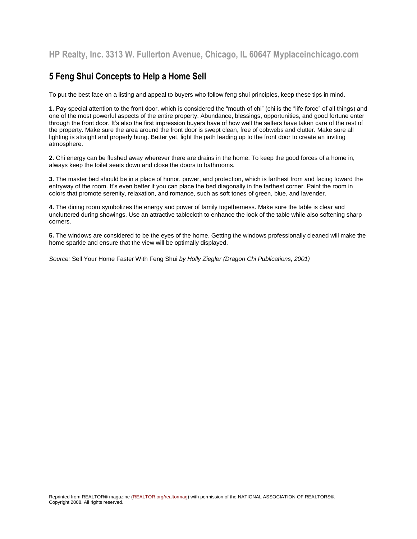# **5 Feng Shui Concepts to Help a Home Sell**

To put the best face on a listing and appeal to buyers who follow feng shui principles, keep these tips in mind.

**1.** Pay special attention to the front door, which is considered the "mouth of chi" (chi is the "life force" of all things) and one of the most powerful aspects of the entire property. Abundance, blessings, opportunities, and good fortune enter through the front door. It's also the first impression buyers have of how well the sellers have taken care of the rest of the property. Make sure the area around the front door is swept clean, free of cobwebs and clutter. Make sure all lighting is straight and properly hung. Better yet, light the path leading up to the front door to create an inviting atmosphere.

**2.** Chi energy can be flushed away wherever there are drains in the home. To keep the good forces of a home in, always keep the toilet seats down and close the doors to bathrooms.

**3.** The master bed should be in a place of honor, power, and protection, which is farthest from and facing toward the entryway of the room. It's even better if you can place the bed diagonally in the farthest corner. Paint the room in colors that promote serenity, relaxation, and romance, such as soft tones of green, blue, and lavender.

**4.** The dining room symbolizes the energy and power of family togetherness. Make sure the table is clear and uncluttered during showings. Use an attractive tablecloth to enhance the look of the table while also softening sharp corners.

**5.** The windows are considered to be the eyes of the home. Getting the windows professionally cleaned will make the home sparkle and ensure that the view will be optimally displayed.

*Source:* Sell Your Home Faster With Feng Shui *by Holly Ziegler (Dragon Chi Publications, 2001)*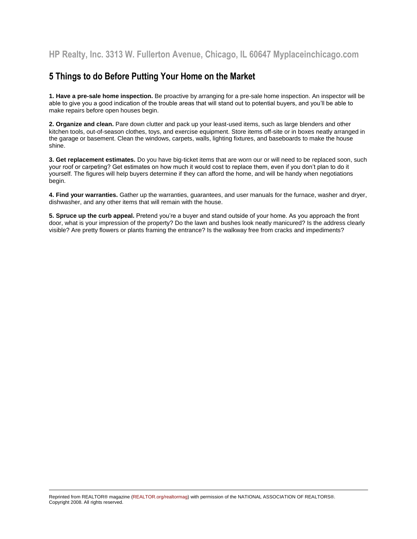# **5 Things to do Before Putting Your Home on the Market**

**1. Have a pre-sale home inspection.** Be proactive by arranging for a pre-sale home inspection. An inspector will be able to give you a good indication of the trouble areas that will stand out to potential buyers, and you'll be able to make repairs before open houses begin.

**2. Organize and clean.** Pare down clutter and pack up your least-used items, such as large blenders and other kitchen tools, out-of-season clothes, toys, and exercise equipment. Store items off-site or in boxes neatly arranged in the garage or basement. Clean the windows, carpets, walls, lighting fixtures, and baseboards to make the house shine.

**3. Get replacement estimates.** Do you have big-ticket items that are worn our or will need to be replaced soon, such your roof or carpeting? Get estimates on how much it would cost to replace them, even if you don't plan to do it yourself. The figures will help buyers determine if they can afford the home, and will be handy when negotiations begin.

**4. Find your warranties.** Gather up the warranties, guarantees, and user manuals for the furnace, washer and dryer, dishwasher, and any other items that will remain with the house.

**5. Spruce up the curb appeal.** Pretend you're a buyer and stand outside of your home. As you approach the front door, what is your impression of the property? Do the lawn and bushes look neatly manicured? Is the address clearly visible? Are pretty flowers or plants framing the entrance? Is the walkway free from cracks and impediments?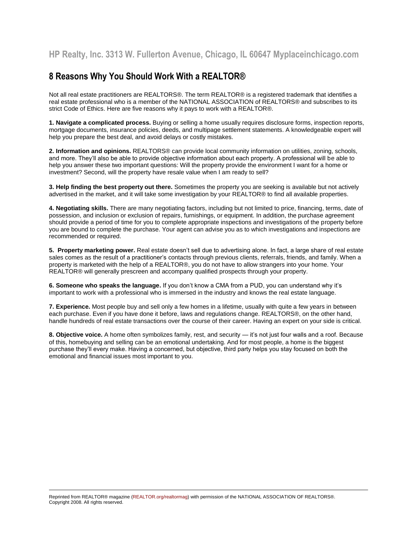### **8 Reasons Why You Should Work With a REALTOR®**

Not all real estate practitioners are REALTORS®. The term REALTOR® is a registered trademark that identifies a real estate professional who is a member of the NATIONAL ASSOCIATION of REALTORS® and subscribes to its strict Code of Ethics. Here are five reasons why it pays to work with a REALTOR®.

**1. Navigate a complicated process.** Buying or selling a home usually requires disclosure forms, inspection reports, mortgage documents, insurance policies, deeds, and multipage settlement statements. A knowledgeable expert will help you prepare the best deal, and avoid delays or costly mistakes.

**2. Information and opinions.** REALTORS® can provide local community information on utilities, zoning, schools, and more. They'll also be able to provide objective information about each property. A professional will be able to help you answer these two important questions: Will the property provide the environment I want for a home or investment? Second, will the property have resale value when I am ready to sell?

**3. Help finding the best property out there.** Sometimes the property you are seeking is available but not actively advertised in the market, and it will take some investigation by your REALTOR® to find all available properties.

**4. Negotiating skills.** There are many negotiating factors, including but not limited to price, financing, terms, date of possession, and inclusion or exclusion of repairs, furnishings, or equipment. In addition, the purchase agreement should provide a period of time for you to complete appropriate inspections and investigations of the property before you are bound to complete the purchase. Your agent can advise you as to which investigations and inspections are recommended or required.

**5. Property marketing power.** Real estate doesn't sell due to advertising alone. In fact, a large share of real estate sales comes as the result of a practitioner's contacts through previous clients, referrals, friends, and family. When a property is marketed with the help of a REALTOR®, you do not have to allow strangers into your home. Your REALTOR® will generally prescreen and accompany qualified prospects through your property.

**6. Someone who speaks the language.** If you don't know a CMA from a PUD, you can understand why it's important to work with a professional who is immersed in the industry and knows the real estate language.

**7. Experience.** Most people buy and sell only a few homes in a lifetime, usually with quite a few years in between each purchase. Even if you have done it before, laws and regulations change. REALTORS®, on the other hand, handle hundreds of real estate transactions over the course of their career. Having an expert on your side is critical.

**8. Objective voice.** A home often symbolizes family, rest, and security — it's not just four walls and a roof. Because of this, homebuying and selling can be an emotional undertaking. And for most people, a home is the biggest purchase they'll every make. Having a concerned, but objective, third party helps you stay focused on both the emotional and financial issues most important to you.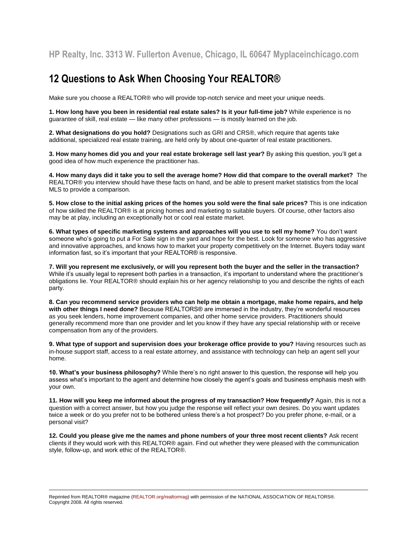# **12 Questions to Ask When Choosing Your REALTOR®**

Make sure you choose a REALTOR® who will provide top-notch service and meet your unique needs.

**1. How long have you been in residential real estate sales? Is it your full-time job?** While experience is no guarantee of skill, real estate — like many other professions — is mostly learned on the job.

**2. What designations do you hold?** Designations such as GRI and CRS®, which require that agents take additional, specialized real estate training, are held only by about one-quarter of real estate practitioners.

**3. How many homes did you and your real estate brokerage sell last year?** By asking this question, you'll get a good idea of how much experience the practitioner has.

**4. How many days did it take you to sell the average home? How did that compare to the overall market?** The REALTOR® you interview should have these facts on hand, and be able to present market statistics from the local MLS to provide a comparison.

**5. How close to the initial asking prices of the homes you sold were the final sale prices?** This is one indication of how skilled the REALTOR® is at pricing homes and marketing to suitable buyers. Of course, other factors also may be at play, including an exceptionally hot or cool real estate market.

**6. What types of specific marketing systems and approaches will you use to sell my home?** You don't want someone who's going to put a For Sale sign in the yard and hope for the best. Look for someone who has aggressive and innovative approaches, and knows how to market your property competitively on the Internet. Buyers today want information fast, so it's important that your REALTOR® is responsive.

**7. Will you represent me exclusively, or will you represent both the buyer and the seller in the transaction?** While it's usually legal to represent both parties in a transaction, it's important to understand where the practitioner's obligations lie. Your REALTOR® should explain his or her agency relationship to you and describe the rights of each party.

**8. Can you recommend service providers who can help me obtain a mortgage, make home repairs, and help with other things I need done?** Because REALTORS® are immersed in the industry, they're wonderful resources as you seek lenders, home improvement companies, and other home service providers. Practitioners should generally recommend more than one provider and let you know if they have any special relationship with or receive compensation from any of the providers.

**9. What type of support and supervision does your brokerage office provide to you?** Having resources such as in-house support staff, access to a real estate attorney, and assistance with technology can help an agent sell your home.

**10. What's your business philosophy?** While there's no right answer to this question, the response will help you assess what's important to the agent and determine how closely the agent's goals and business emphasis mesh with your own.

**11. How will you keep me informed about the progress of my transaction? How frequently?** Again, this is not a question with a correct answer, but how you judge the response will reflect your own desires. Do you want updates twice a week or do you prefer not to be bothered unless there's a hot prospect? Do you prefer phone, e-mail, or a personal visit?

**12. Could you please give me the names and phone numbers of your three most recent clients?** Ask recent clients if they would work with this REALTOR® again. Find out whether they were pleased with the communication style, follow-up, and work ethic of the REALTOR®.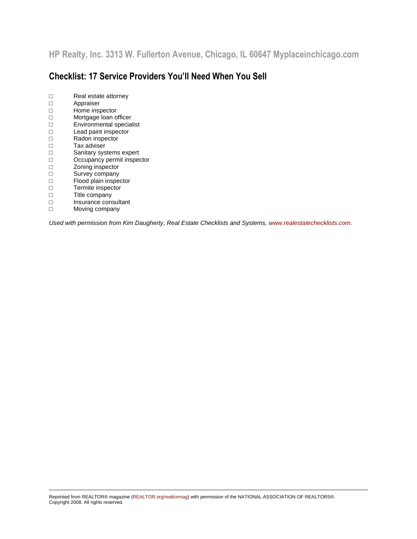# **Checklist: 17 Service Providers You'll Need When You Sell**

- □ Real estate attorney
- □ Appraiser
- □ Home inspector
- □ Mortgage loan officer
- □ Environmental specialist □ Lead paint inspector
- □ Radon inspector
- □ Tax adviser
- □ Sanitary systems expert
- □ Occupancy permit inspector
- □ Zoning inspector
- □ Survey company
- □ Flood plain inspector
- □ Termite inspector
- □ Title company<br>□ Insurance con
- □ Insurance consultant<br>□ Moving company
- Moving company

*Used with permission from Kim Daugherty, Real Estate Checklists and Systems, www.realestatechecklists.com.*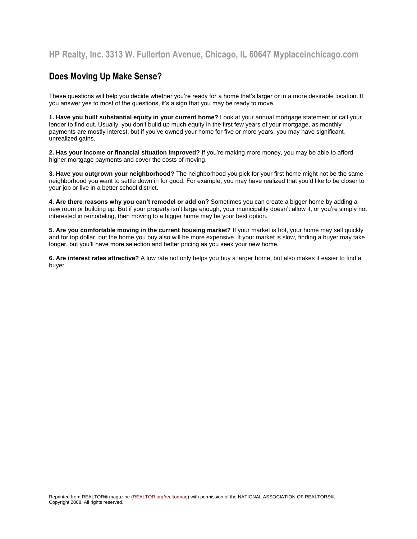# **Does Moving Up Make Sense?**

These questions will help you decide whether you're ready for a home that's larger or in a more desirable location. If you answer yes to most of the questions, it's a sign that you may be ready to move.

**1. Have you built substantial equity in your current home?** Look at your annual mortgage statement or call your lender to find out. Usually, you don't build up much equity in the first few years of your mortgage, as monthly payments are mostly interest, but if you've owned your home for five or more years, you may have significant, unrealized gains.

**2. Has your income or financial situation improved?** If you're making more money, you may be able to afford higher mortgage payments and cover the costs of moving.

**3. Have you outgrown your neighborhood?** The neighborhood you pick for your first home might not be the same neighborhood you want to settle down in for good. For example, you may have realized that you'd like to be closer to your job or live in a better school district.

**4. Are there reasons why you can't remodel or add on?** Sometimes you can create a bigger home by adding a new room or building up. But if your property isn't large enough, your municipality doesn't allow it, or you're simply not interested in remodeling, then moving to a bigger home may be your best option.

**5. Are you comfortable moving in the current housing market?** If your market is hot, your home may sell quickly and for top dollar, but the home you buy also will be more expensive. If your market is slow, finding a buyer may take longer, but you'll have more selection and better pricing as you seek your new home.

**6. Are interest rates attractive?** A low rate not only helps you buy a larger home, but also makes it easier to find a buyer.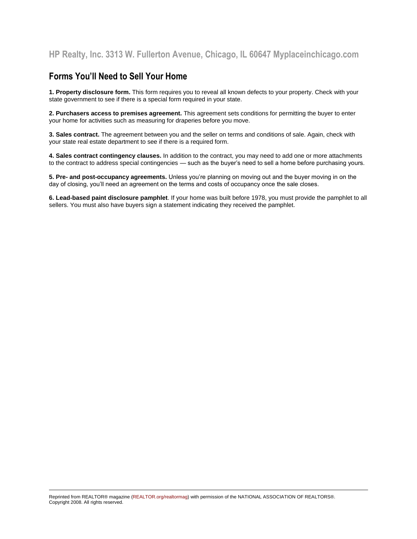# **Forms You'll Need to Sell Your Home**

**1. Property disclosure form.** This form requires you to reveal all known defects to your property. Check with your state government to see if there is a special form required in your state.

**2. Purchasers access to premises agreement.** This agreement sets conditions for permitting the buyer to enter your home for activities such as measuring for draperies before you move.

**3. Sales contract.** The agreement between you and the seller on terms and conditions of sale. Again, check with your state real estate department to see if there is a required form.

**4. Sales contract contingency clauses.** In addition to the contract, you may need to add one or more attachments to the contract to address special contingencies — such as the buyer's need to sell a home before purchasing yours.

**5. Pre- and post-occupancy agreements.** Unless you're planning on moving out and the buyer moving in on the day of closing, you'll need an agreement on the terms and costs of occupancy once the sale closes.

**6. Lead-based paint disclosure pamphlet**. If your home was built before 1978, you must provide the pamphlet to all sellers. You must also have buyers sign a statement indicating they received the pamphlet.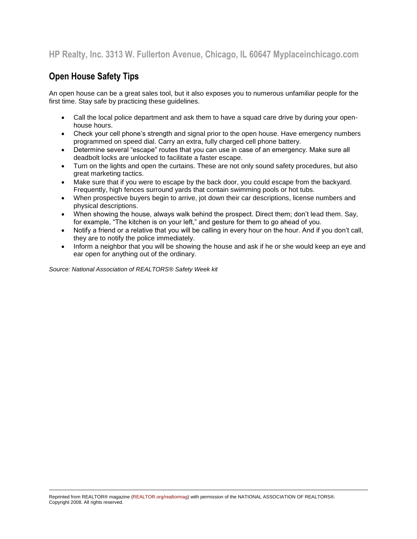# **Open House Safety Tips**

An open house can be a great sales tool, but it also exposes you to numerous unfamiliar people for the first time. Stay safe by practicing these guidelines.

- Call the local police department and ask them to have a squad care drive by during your openhouse hours.
- Check your cell phone's strength and signal prior to the open house. Have emergency numbers programmed on speed dial. Carry an extra, fully charged cell phone battery.
- Determine several "escape" routes that you can use in case of an emergency. Make sure all deadbolt locks are unlocked to facilitate a faster escape.
- Turn on the lights and open the curtains. These are not only sound safety procedures, but also great marketing tactics.
- Make sure that if you were to escape by the back door, you could escape from the backyard. Frequently, high fences surround yards that contain swimming pools or hot tubs.
- When prospective buyers begin to arrive, jot down their car descriptions, license numbers and physical descriptions.
- When showing the house, always walk behind the prospect. Direct them; don't lead them. Say, for example, "The kitchen is on your left," and gesture for them to go ahead of you.
- Notify a friend or a relative that you will be calling in every hour on the hour. And if you don't call, they are to notify the police immediately.
- Inform a neighbor that you will be showing the house and ask if he or she would keep an eye and ear open for anything out of the ordinary.

*Source: National Association of REALTORS® Safety Week kit*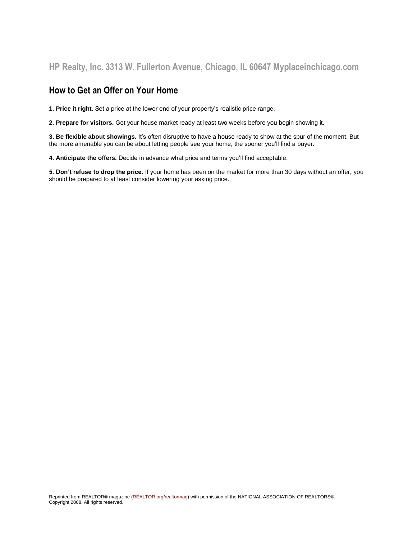### **How to Get an Offer on Your Home**

**1. Price it right.** Set a price at the lower end of your property's realistic price range.

**2. Prepare for visitors.** Get your house market ready at least two weeks before you begin showing it.

**3. Be flexible about showings.** It's often disruptive to have a house ready to show at the spur of the moment. But the more amenable you can be about letting people see your home, the sooner you'll find a buyer.

**4. Anticipate the offers.** Decide in advance what price and terms you'll find acceptable.

**5. Don't refuse to drop the price.** If your home has been on the market for more than 30 days without an offer, you should be prepared to at least consider lowering your asking price.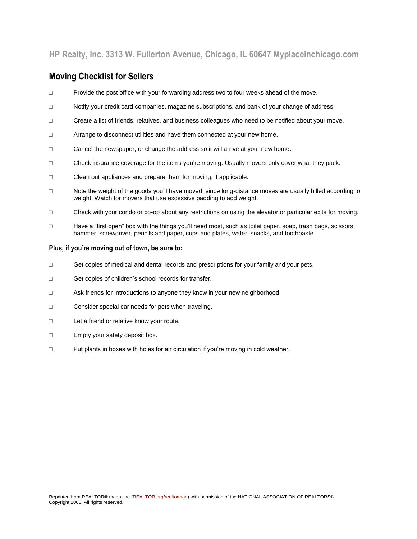# **Moving Checklist for Sellers**

- □ Provide the post office with your forwarding address two to four weeks ahead of the move.
- □ Notify your credit card companies, magazine subscriptions, and bank of your change of address.
- □ Create a list of friends, relatives, and business colleagues who need to be notified about your move.
- □ Arrange to disconnect utilities and have them connected at your new home.
- □ Cancel the newspaper, or change the address so it will arrive at your new home.
- □ Check insurance coverage for the items you're moving. Usually movers only cover what they pack.
- □ Clean out appliances and prepare them for moving, if applicable.
- □ Note the weight of the goods you'll have moved, since long-distance moves are usually billed according to weight. Watch for movers that use excessive padding to add weight.
- □ Check with your condo or co-op about any restrictions on using the elevator or particular exits for moving.
- □ Have a "first open" box with the things you'll need most, such as toilet paper, soap, trash bags, scissors, hammer, screwdriver, pencils and paper, cups and plates, water, snacks, and toothpaste.

#### **Plus, if you're moving out of town, be sure to:**

- □ Get copies of medical and dental records and prescriptions for your family and your pets.
- □ Get copies of children's school records for transfer.
- □ Ask friends for introductions to anyone they know in your new neighborhood.
- □ Consider special car needs for pets when traveling.
- □ Let a friend or relative know your route.
- □ Empty your safety deposit box.
- □ Put plants in boxes with holes for air circulation if you're moving in cold weather.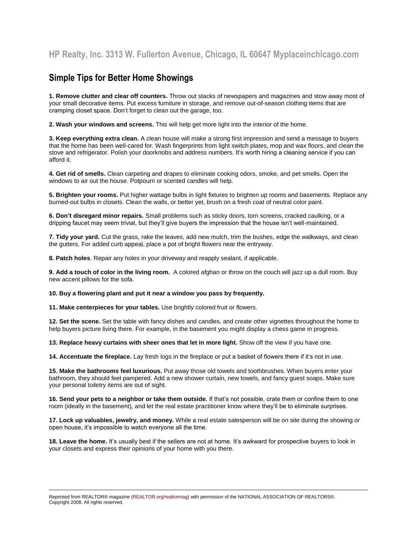### **Simple Tips for Better Home Showings**

**1. Remove clutter and clear off counters.** Throw out stacks of newspapers and magazines and stow away most of your small decorative items. Put excess furniture in storage, and remove out-of-season clothing items that are cramping closet space. Don't forget to clean out the garage, too.

**2. Wash your windows and screens.** This will help get more light into the interior of the home.

**3. Keep everything extra clean.** A clean house will make a strong first impression and send a message to buyers that the home has been well-cared for. Wash fingerprints from light switch plates, mop and wax floors, and clean the stove and refrigerator. Polish your doorknobs and address numbers. It's worth hiring a cleaning service if you can afford it.

**4. Get rid of smells.** Clean carpeting and drapes to eliminate cooking odors, smoke, and pet smells. Open the windows to air out the house. Potpourri or scented candles will help.

**5. Brighten your rooms.** Put higher wattage bulbs in light fixtures to brighten up rooms and basements. Replace any burned-out bulbs in closets. Clean the walls, or better yet, brush on a fresh coat of neutral color paint.

**6. Don't disregard minor repairs.** Small problems such as sticky doors, torn screens, cracked caulking, or a dripping faucet may seem trivial, but they'll give buyers the impression that the house isn't well-maintained.

**7. Tidy your yard.** Cut the grass, rake the leaves, add new mulch, trim the bushes, edge the walkways, and clean the gutters. For added curb appeal, place a pot of bright flowers near the entryway.

**8. Patch holes**. Repair any holes in your driveway and reapply sealant, if applicable.

**9. Add a touch of color in the living room.** A colored afghan or throw on the couch will jazz up a dull room. Buy new accent pillows for the sofa.

#### **10. Buy a flowering plant and put it near a window you pass by frequently.**

**11. Make centerpieces for your tables.** Use brightly colored fruit or flowers.

**12. Set the scene.** Set the table with fancy dishes and candles, and create other vignettes throughout the home to help buyers picture living there. For example, in the basement you might display a chess game in progress.

**13. Replace heavy curtains with sheer ones that let in more light.** Show off the view if you have one.

**14. Accentuate the fireplace.** Lay fresh logs in the fireplace or put a basket of flowers there if it's not in use.

**15. Make the bathrooms feel luxurious.** Put away those old towels and toothbrushes. When buyers enter your bathroom, they should feel pampered. Add a new shower curtain, new towels, and fancy guest soaps. Make sure your personal toiletry items are out of sight.

**16. Send your pets to a neighbor or take them outside.** If that's not possible, crate them or confine them to one room (ideally in the basement), and let the real estate practitioner know where they'll be to eliminate surprises.

**17. Lock up valuables, jewelry, and money.** While a real estate salesperson will be on site during the showing or open house, it's impossible to watch everyone all the time.

**18. Leave the home.** It's usually best if the sellers are not at home. It's awkward for prospective buyers to look in your closets and express their opinions of your home with you there.

Reprinted from REALTOR® magazine (REALTOR.org/realtormag) with permission of the NATIONAL ASSOCIATION OF REALTORS®. Copyright 2008. All rights reserved.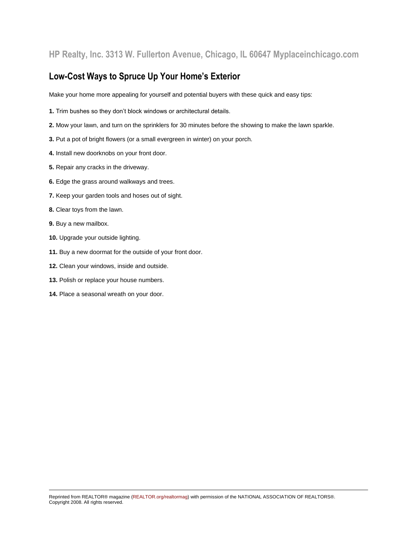### **Low-Cost Ways to Spruce Up Your Home's Exterior**

Make your home more appealing for yourself and potential buyers with these quick and easy tips:

- **1.** Trim bushes so they don't block windows or architectural details.
- **2.** Mow your lawn, and turn on the sprinklers for 30 minutes before the showing to make the lawn sparkle.
- **3.** Put a pot of bright flowers (or a small evergreen in winter) on your porch.
- **4.** Install new doorknobs on your front door.
- **5.** Repair any cracks in the driveway.
- **6.** Edge the grass around walkways and trees.
- **7.** Keep your garden tools and hoses out of sight.
- **8.** Clear toys from the lawn.
- **9.** Buy a new mailbox.
- **10.** Upgrade your outside lighting.
- **11.** Buy a new doormat for the outside of your front door.
- **12.** Clean your windows, inside and outside.
- 13. Polish or replace your house numbers.
- **14.** Place a seasonal wreath on your door.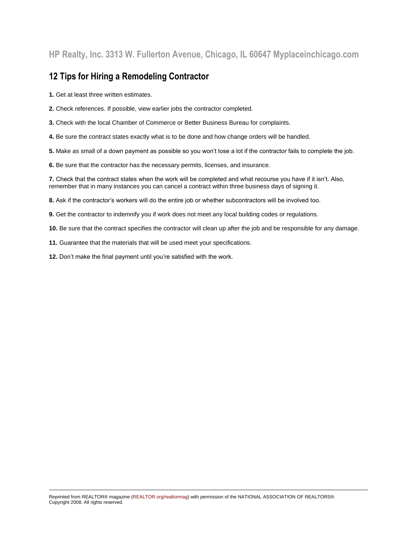# **12 Tips for Hiring a Remodeling Contractor**

**1.** Get at least three written estimates.

- **2.** Check references. If possible, view earlier jobs the contractor completed.
- **3.** Check with the local Chamber of Commerce or Better Business Bureau for complaints.

**4.** Be sure the contract states exactly what is to be done and how change orders will be handled.

**5.** Make as small of a down payment as possible so you won't lose a lot if the contractor fails to complete the job.

**6.** Be sure that the contractor has the necessary permits, licenses, and insurance.

**7.** Check that the contract states when the work will be completed and what recourse you have if it isn't. Also, remember that in many instances you can cancel a contract within three business days of signing it.

**8.** Ask if the contractor's workers will do the entire job or whether subcontractors will be involved too.

**9.** Get the contractor to indemnify you if work does not meet any local building codes or regulations.

**10.** Be sure that the contract specifies the contractor will clean up after the job and be responsible for any damage.

**11.** Guarantee that the materials that will be used meet your specifications.

**12.** Don't make the final payment until you're satisfied with the work.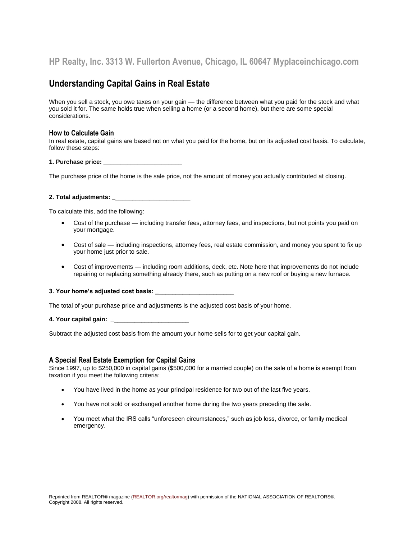#### **Understanding Capital Gains in Real Estate**

When you sell a stock, you owe taxes on your gain — the difference between what you paid for the stock and what you sold it for. The same holds true when selling a home (or a second home), but there are some special considerations.

#### **How to Calculate Gain**

In real estate, capital gains are based not on what you paid for the home, but on its adjusted cost basis. To calculate, follow these steps:

#### **1. Purchase price:** \_\_\_\_\_\_\_\_\_\_\_\_\_\_\_\_\_\_\_\_\_\_\_

The purchase price of the home is the sale price, not the amount of money you actually contributed at closing.

#### **2. Total adjustments: \_**\_\_\_\_\_\_\_\_\_\_\_\_\_\_\_\_\_\_\_\_\_\_

To calculate this, add the following:

- Cost of the purchase including transfer fees, attorney fees, and inspections, but not points you paid on your mortgage.
- Cost of sale including inspections, attorney fees, real estate commission, and money you spent to fix up your home just prior to sale.
- Cost of improvements including room additions, deck, etc. Note here that improvements do not include repairing or replacing something already there, such as putting on a new roof or buying a new furnace.

#### **3. Your home's adjusted cost basis: \_**\_\_\_\_\_\_\_\_\_\_\_\_\_\_\_\_\_\_\_\_\_\_

The total of your purchase price and adjustments is the adjusted cost basis of your home.

**4. Your capital gain: \_**\_\_\_\_\_\_\_\_\_\_\_\_\_\_\_\_\_\_\_\_\_\_

Subtract the adjusted cost basis from the amount your home sells for to get your capital gain.

#### **A Special Real Estate Exemption for Capital Gains**

Since 1997, up to \$250,000 in capital gains (\$500,000 for a married couple) on the sale of a home is exempt from taxation if you meet the following criteria:

- You have lived in the home as your principal residence for two out of the last five years.
- You have not sold or exchanged another home during the two years preceding the sale.
- You meet what the IRS calls "unforeseen circumstances," such as job loss, divorce, or family medical emergency.